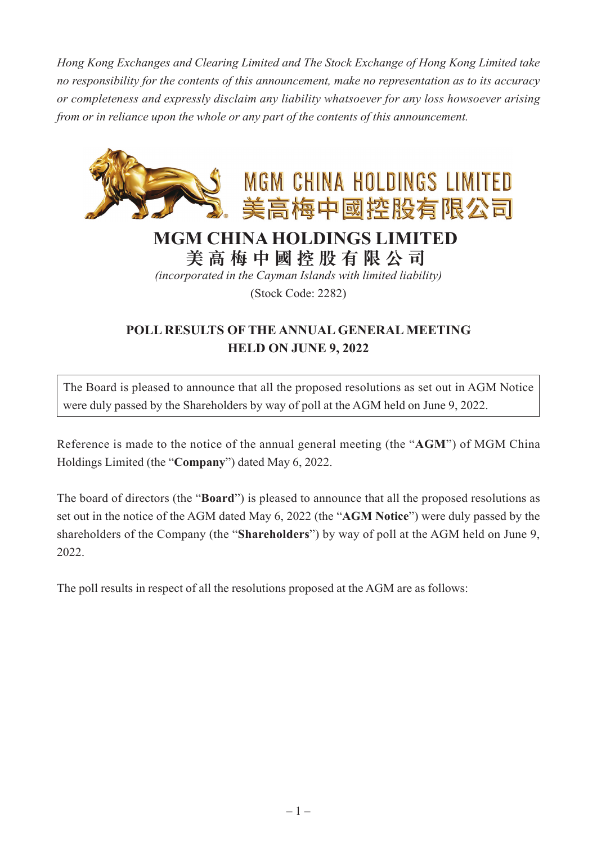*Hong Kong Exchanges and Clearing Limited and The Stock Exchange of Hong Kong Limited take no responsibility for the contents of this announcement, make no representation as to its accuracy or completeness and expressly disclaim any liability whatsoever for any loss howsoever arising from or in reliance upon the whole or any part of the contents of this announcement.*



## **MGM CHINA HOLDINGS LIMITED**

**美高梅中國控股有限公司**

*(incorporated in the Cayman Islands with limited liability)*

(Stock Code: 2282)

## **POLL RESULTS OF THE ANNUAL GENERAL MEETING HELD ON JUNE 9, 2022**

The Board is pleased to announce that all the proposed resolutions as set out in AGM Notice were duly passed by the Shareholders by way of poll at the AGM held on June 9, 2022.

Reference is made to the notice of the annual general meeting (the "**AGM**") of MGM China Holdings Limited (the "**Company**") dated May 6, 2022.

The board of directors (the "**Board**") is pleased to announce that all the proposed resolutions as set out in the notice of the AGM dated May 6, 2022 (the "**AGM Notice**") were duly passed by the shareholders of the Company (the "**Shareholders**") by way of poll at the AGM held on June 9, 2022.

The poll results in respect of all the resolutions proposed at the AGM are as follows: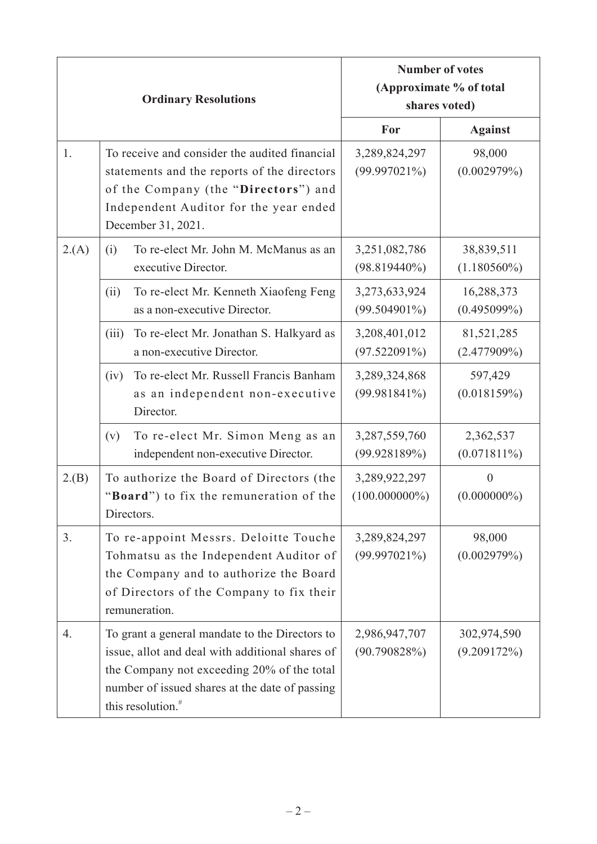| <b>Ordinary Resolutions</b> |                                                                                                                                                                                                                                    | <b>Number of votes</b><br>(Approximate % of total<br>shares voted) |  |
|-----------------------------|------------------------------------------------------------------------------------------------------------------------------------------------------------------------------------------------------------------------------------|--------------------------------------------------------------------|--|
|                             |                                                                                                                                                                                                                                    | For<br><b>Against</b>                                              |  |
| 1.                          | To receive and consider the audited financial<br>statements and the reports of the directors<br>of the Company (the "Directors") and<br>Independent Auditor for the year ended<br>December 31, 2021.                               | 98,000<br>3,289,824,297<br>$(99.997021\%)$<br>(0.002979%)          |  |
| 2(A)                        | To re-elect Mr. John M. McManus as an<br>(i)<br>executive Director.                                                                                                                                                                | 3,251,082,786<br>38,839,511<br>$(1.180560\%)$<br>$(98.819440\%)$   |  |
|                             | To re-elect Mr. Kenneth Xiaofeng Feng<br>(ii)<br>as a non-executive Director.                                                                                                                                                      | 3,273,633,924<br>16,288,373<br>$(99.504901\%)$<br>$(0.495099\%)$   |  |
|                             | To re-elect Mr. Jonathan S. Halkyard as<br>(iii)<br>a non-executive Director.                                                                                                                                                      | 3,208,401,012<br>81,521,285<br>$(97.522091\%)$<br>$(2.477909\%)$   |  |
|                             | To re-elect Mr. Russell Francis Banham<br>(iv)<br>as an independent non-executive<br>Director.                                                                                                                                     | 597,429<br>3,289,324,868<br>(0.018159%)<br>(99.981841%)            |  |
|                             | To re-elect Mr. Simon Meng as an<br>(v)<br>independent non-executive Director.                                                                                                                                                     | 2,362,537<br>3,287,559,760<br>(99.928189%)<br>$(0.071811\%)$       |  |
| 2.(B)                       | To authorize the Board of Directors (the<br>"Board") to fix the remuneration of the<br>Directors.                                                                                                                                  | 3,289,922,297<br>$\theta$<br>$(100.000000\%)$<br>$(0.000000\%)$    |  |
| 3.                          | To re-appoint Messrs. Deloitte Touche<br>Tohmatsu as the Independent Auditor of<br>the Company and to authorize the Board<br>of Directors of the Company to fix their<br>remuneration.                                             | 98,000<br>3,289,824,297<br>(0.002979%)<br>$(99.997021\%)$          |  |
| 4.                          | To grant a general mandate to the Directors to<br>issue, allot and deal with additional shares of<br>the Company not exceeding 20% of the total<br>number of issued shares at the date of passing<br>this resolution. <sup>#</sup> | 2,986,947,707<br>302,974,590<br>(90.790828%)<br>(9.209172%)        |  |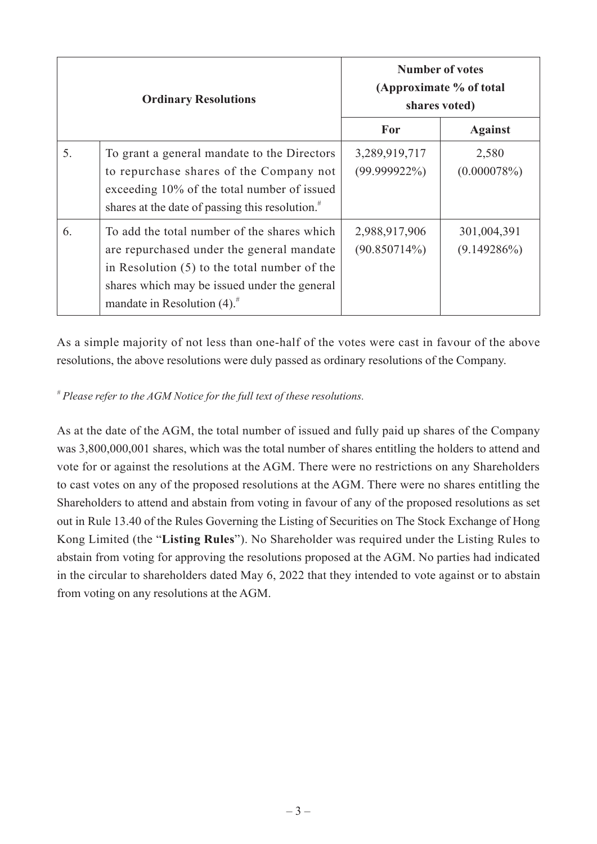| <b>Ordinary Resolutions</b> |                                                                                                                                                                                                                                          | <b>Number of votes</b><br>(Approximate % of total<br>shares voted) |                               |
|-----------------------------|------------------------------------------------------------------------------------------------------------------------------------------------------------------------------------------------------------------------------------------|--------------------------------------------------------------------|-------------------------------|
|                             |                                                                                                                                                                                                                                          | For                                                                | <b>Against</b>                |
| 5.                          | To grant a general mandate to the Directors<br>to repurchase shares of the Company not<br>exceeding 10% of the total number of issued<br>shares at the date of passing this resolution. <sup>#</sup>                                     | 3,289,919,717<br>$(99.999922\%)$                                   | 2,580<br>(0.000078%)          |
| 6.                          | To add the total number of the shares which<br>are repurchased under the general mandate<br>in Resolution $(5)$ to the total number of the<br>shares which may be issued under the general<br>mandate in Resolution $(4)$ . <sup>#</sup> | 2,988,917,906<br>$(90.850714\%)$                                   | 301,004,391<br>$(9.149286\%)$ |

As a simple majority of not less than one-half of the votes were cast in favour of the above resolutions, the above resolutions were duly passed as ordinary resolutions of the Company.

## *# Please refer to the AGM Notice for the full text of these resolutions.*

As at the date of the AGM, the total number of issued and fully paid up shares of the Company was 3,800,000,001 shares, which was the total number of shares entitling the holders to attend and vote for or against the resolutions at the AGM. There were no restrictions on any Shareholders to cast votes on any of the proposed resolutions at the AGM. There were no shares entitling the Shareholders to attend and abstain from voting in favour of any of the proposed resolutions as set out in Rule 13.40 of the Rules Governing the Listing of Securities on The Stock Exchange of Hong Kong Limited (the "**Listing Rules**"). No Shareholder was required under the Listing Rules to abstain from voting for approving the resolutions proposed at the AGM. No parties had indicated in the circular to shareholders dated May 6, 2022 that they intended to vote against or to abstain from voting on any resolutions at the AGM.